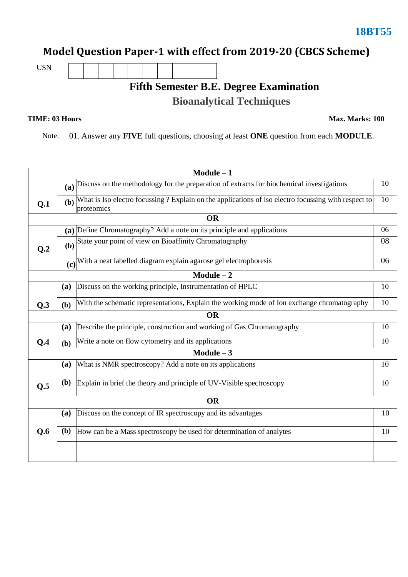### **Model Question Paper-1 with effect from 2019-20 (CBCS Scheme)**

USN

## **Fifth Semester B.E. Degree Examination Bioanalytical Techniques**

**TIME: 03 Hours Max. Marks: 100**

Note: 01. Answer any **FIVE** full questions, choosing at least **ONE** question from each **MODULE**.

| $Module - 1$                                                        |                                                                                                                           |                                                                                             |    |  |  |
|---------------------------------------------------------------------|---------------------------------------------------------------------------------------------------------------------------|---------------------------------------------------------------------------------------------|----|--|--|
|                                                                     | (a) Discuss on the methodology for the preparation of extracts for biochemical investigations                             |                                                                                             | 10 |  |  |
| Q.1                                                                 | What is Iso electro focussing ? Explain on the applications of iso electro focussing with respect to<br>(b)<br>proteomics |                                                                                             |    |  |  |
|                                                                     |                                                                                                                           | <b>OR</b>                                                                                   |    |  |  |
|                                                                     |                                                                                                                           | (a) Define Chromatography? Add a note on its principle and applications                     |    |  |  |
| Q.2                                                                 | (b)                                                                                                                       | State your point of view on Bioaffinity Chromatography                                      |    |  |  |
|                                                                     |                                                                                                                           | (c) With a neat labelled diagram explain agarose gel electrophoresis                        | 06 |  |  |
|                                                                     |                                                                                                                           | $Module - 2$                                                                                |    |  |  |
|                                                                     | (a)                                                                                                                       | Discuss on the working principle, Instrumentation of HPLC                                   | 10 |  |  |
| Q.3                                                                 | (b)                                                                                                                       | With the schematic representations, Explain the working mode of Ion exchange chromatography | 10 |  |  |
|                                                                     |                                                                                                                           | <b>OR</b>                                                                                   |    |  |  |
|                                                                     | (a)                                                                                                                       | Describe the principle, construction and working of Gas Chromatography                      | 10 |  |  |
| Q.4                                                                 | Write a note on flow cytometry and its applications<br>(b)                                                                |                                                                                             | 10 |  |  |
|                                                                     |                                                                                                                           | $Module - 3$                                                                                |    |  |  |
|                                                                     | (a)                                                                                                                       | What is NMR spectroscopy? Add a note on its applications                                    | 10 |  |  |
| Q.5                                                                 | (b)                                                                                                                       | Explain in brief the theory and principle of UV-Visible spectroscopy                        | 10 |  |  |
| <b>OR</b>                                                           |                                                                                                                           |                                                                                             |    |  |  |
| Discuss on the concept of IR spectroscopy and its advantages<br>(a) |                                                                                                                           |                                                                                             | 10 |  |  |
| Q.6                                                                 | ( <b>b</b> )                                                                                                              | How can be a Mass spectroscopy be used for determination of analytes                        |    |  |  |
|                                                                     |                                                                                                                           |                                                                                             |    |  |  |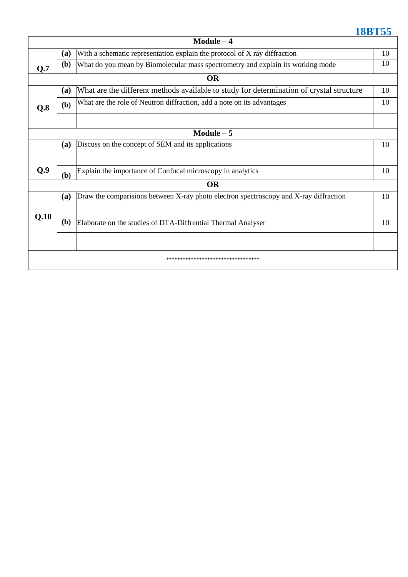| ٦ι | o<br>I QD 1 | mm. |  |  |
|----|-------------|-----|--|--|
|    |             |     |  |  |

|                                     |            | $Module - 4$                                                                             |    |  |
|-------------------------------------|------------|------------------------------------------------------------------------------------------|----|--|
| (a)                                 |            | With a schematic representation explain the protocol of X ray diffraction                | 10 |  |
| (b)<br>Q.7                          |            | What do you mean by Biomolecular mass spectrometry and explain its working mode          | 10 |  |
|                                     |            | <b>OR</b>                                                                                |    |  |
|                                     | (a)        | What are the different methods available to study for determination of crystal structure | 10 |  |
| Q.8                                 | (b)        | What are the role of Neutron diffraction, add a note on its advantages                   |    |  |
|                                     |            |                                                                                          |    |  |
|                                     |            | Module $-5$                                                                              |    |  |
|                                     | (a)        | Discuss on the concept of SEM and its applications                                       | 10 |  |
|                                     |            |                                                                                          |    |  |
| Q.9                                 | (b)        | Explain the importance of Confocal microscopy in analytics                               | 10 |  |
|                                     |            | <b>OR</b>                                                                                |    |  |
|                                     | <b>(a)</b> | Draw the comparisions between X-ray photo electron spectroscopy and X-ray diffraction    | 10 |  |
|                                     |            |                                                                                          |    |  |
| Q.10                                | (b)        | Elaborate on the studies of DTA-Diffrential Thermal Analyser                             | 10 |  |
|                                     |            |                                                                                          |    |  |
| *********************************** |            |                                                                                          |    |  |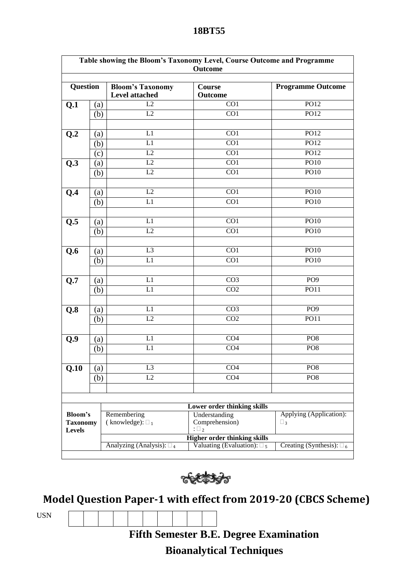| Table showing the Bloom's Taxonomy Level, Course Outcome and Programme<br><b>Outcome</b> |                   |                                                  |                                                                            |                                   |  |
|------------------------------------------------------------------------------------------|-------------------|--------------------------------------------------|----------------------------------------------------------------------------|-----------------------------------|--|
| <b>Question</b>                                                                          |                   | <b>Bloom's Taxonomy</b><br><b>Level attached</b> | Course<br>Outcome                                                          | <b>Programme Outcome</b>          |  |
| Q.1                                                                                      | (a)               | L2                                               | CO1                                                                        | PO12                              |  |
|                                                                                          | (b)               | L2                                               | CO <sub>1</sub>                                                            | PO12                              |  |
|                                                                                          |                   |                                                  |                                                                            |                                   |  |
| Q.2                                                                                      | (a)               | L1                                               | CO <sub>1</sub>                                                            | PO12                              |  |
|                                                                                          | (b)               | L1                                               | $\overline{CO1}$                                                           | PO12                              |  |
|                                                                                          | (c)               | L2                                               | CO1                                                                        | PO12                              |  |
| Q.3                                                                                      | (a)               | L2                                               | CO1                                                                        | PO10                              |  |
|                                                                                          | (b)               | L2                                               | $\overline{CO1}$                                                           | PO10                              |  |
|                                                                                          |                   |                                                  |                                                                            |                                   |  |
| Q.4                                                                                      | (a)               | L2                                               | CO1                                                                        | PO10                              |  |
|                                                                                          | (b)               | L1                                               | CO1                                                                        | PO10                              |  |
|                                                                                          |                   |                                                  |                                                                            |                                   |  |
|                                                                                          |                   | L1                                               | CO1                                                                        | PO10                              |  |
| Q.5                                                                                      | (a)               | L2                                               | CO1                                                                        | PO10                              |  |
|                                                                                          | (b)               |                                                  |                                                                            |                                   |  |
| Q.6                                                                                      |                   | L <sub>3</sub>                                   | CO1                                                                        | PO10                              |  |
|                                                                                          | (a)<br>(b)        | L1                                               | CO1                                                                        | PO10                              |  |
|                                                                                          |                   |                                                  |                                                                            |                                   |  |
| Q.7                                                                                      | (a)               | L1                                               | CO <sub>3</sub>                                                            | PO <sub>9</sub>                   |  |
|                                                                                          | (b)               | L1                                               | CO <sub>2</sub>                                                            | PO11                              |  |
|                                                                                          |                   |                                                  |                                                                            |                                   |  |
| Q.8                                                                                      | (a)               | L1                                               | CO <sub>3</sub>                                                            | PO9                               |  |
|                                                                                          | (b)               | L2                                               | CO <sub>2</sub>                                                            | PO11                              |  |
|                                                                                          |                   |                                                  |                                                                            |                                   |  |
| Q.9                                                                                      | (a)               | L1                                               | CO <sub>4</sub>                                                            | PO <sub>8</sub>                   |  |
|                                                                                          | (b)               | $\overline{L}1$                                  | CO <sub>4</sub>                                                            | PO <sub>8</sub>                   |  |
|                                                                                          |                   |                                                  |                                                                            |                                   |  |
| Q.10                                                                                     | $\left( a\right)$ | L <sub>3</sub>                                   | CO <sub>4</sub>                                                            | PO <sub>8</sub>                   |  |
|                                                                                          | (b)               | L2                                               | $\overline{CO4}$                                                           | PO <sub>8</sub>                   |  |
|                                                                                          |                   |                                                  |                                                                            |                                   |  |
|                                                                                          |                   |                                                  |                                                                            |                                   |  |
| Lower order thinking skills                                                              |                   |                                                  |                                                                            |                                   |  |
| Bloom's                                                                                  |                   | Remembering                                      | Understanding                                                              | Applying (Application):           |  |
| <b>Taxonomy</b>                                                                          |                   | (knowledge): $\square_1$                         | Comprehension)                                                             | $\Box$ 3                          |  |
| <b>Levels</b>                                                                            |                   |                                                  | $:\square_2$                                                               |                                   |  |
|                                                                                          |                   |                                                  | <b>Higher order thinking skills</b><br>Valuating (Evaluation): $\square_5$ |                                   |  |
|                                                                                          |                   | Analyzing (Analysis): $\square_4$                |                                                                            | Creating (Synthesis): $\square_6$ |  |



## **Model Question Paper-1 with effect from 2019-20 (CBCS Scheme)**

USN

**Fifth Semester B.E. Degree Examination** 

# **Bioanalytical Techniques**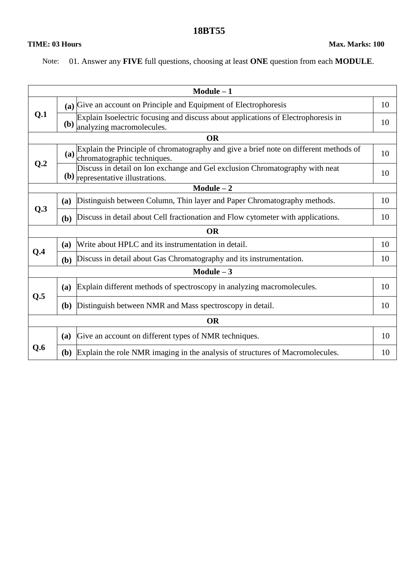#### **18BT55**

#### **TIME: 03 Hours Max. Marks: 100**

Note: 01. Answer any **FIVE** full questions, choosing at least **ONE** question from each **MODULE**.

|           |              | $Module - 1$                                                                                                                             |    |  |
|-----------|--------------|------------------------------------------------------------------------------------------------------------------------------------------|----|--|
| Q.1       |              | (a) Give an account on Principle and Equipment of Electrophoresis                                                                        |    |  |
|           |              | Explain Isoelectric focusing and discuss about applications of Electrophoresis in<br>$\left(\mathbf{b}\right)$ analyzing macromolecules. | 10 |  |
|           |              | <b>OR</b>                                                                                                                                |    |  |
| Q.2       |              | Explain the Principle of chromatography and give a brief note on different methods of<br>(a) $\sum_{\text{chromatographic techniques.}}$ | 10 |  |
|           |              | Discuss in detail on Ion exchange and Gel exclusion Chromatography with neat<br>$(b)$ representative illustrations.                      | 10 |  |
|           |              | $Module - 2$                                                                                                                             |    |  |
| Q.3       | (a)          | Distinguish between Column, Thin layer and Paper Chromatography methods.                                                                 | 10 |  |
|           | (b)          | Discuss in detail about Cell fractionation and Flow cytometer with applications.                                                         | 10 |  |
|           |              | <b>OR</b>                                                                                                                                |    |  |
| Q.4       | (a)          | Write about HPLC and its instrumentation in detail.                                                                                      | 10 |  |
|           | (b)          | Discuss in detail about Gas Chromatography and its instrumentation.                                                                      |    |  |
|           |              | $Module - 3$                                                                                                                             |    |  |
|           | <b>(a)</b>   | Explain different methods of spectroscopy in analyzing macromolecules.                                                                   | 10 |  |
| Q.5       | (b)          | Distinguish between NMR and Mass spectroscopy in detail.                                                                                 | 10 |  |
| <b>OR</b> |              |                                                                                                                                          |    |  |
| Q.6       | (a)          | Give an account on different types of NMR techniques.                                                                                    | 10 |  |
|           | ( <b>b</b> ) | Explain the role NMR imaging in the analysis of structures of Macromolecules.                                                            | 10 |  |